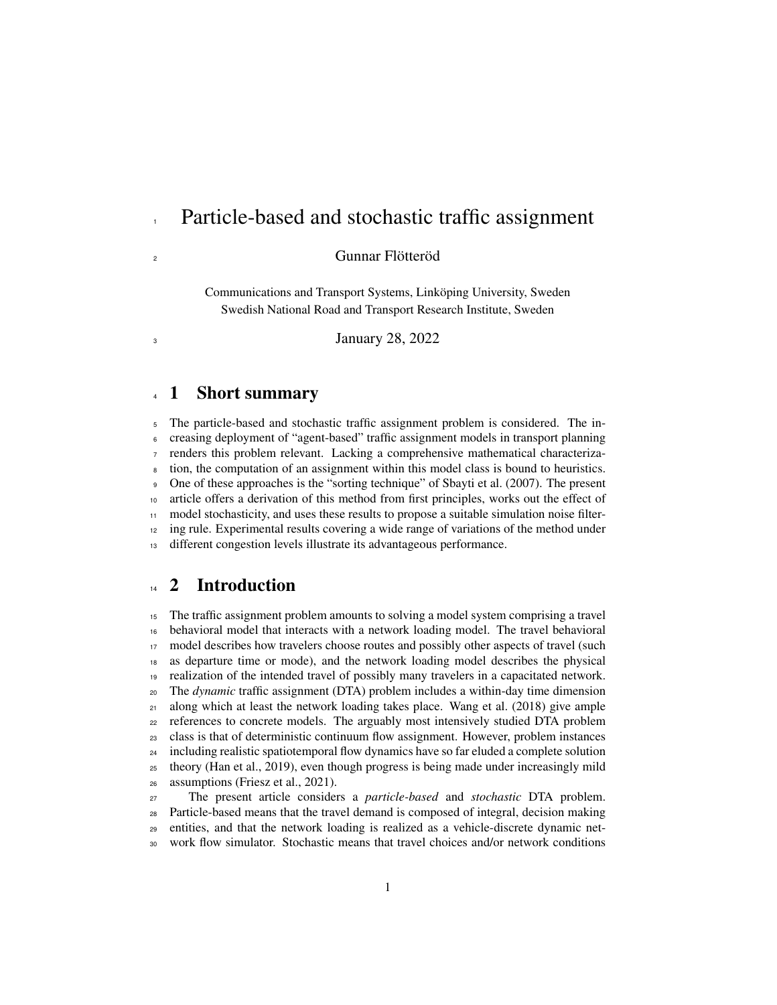# Particle-based and stochastic traffic assignment

Gunnar Flötteröd

Communications and Transport Systems, Linköping University, Sweden Swedish National Road and Transport Research Institute, Sweden

January 28, 2022

## 1 Short summary

 The particle-based and stochastic traffic assignment problem is considered. The in- creasing deployment of "agent-based" traffic assignment models in transport planning renders this problem relevant. Lacking a comprehensive mathematical characteriza- tion, the computation of an assignment within this model class is bound to heuristics. One of these approaches is the "sorting technique" of Sbayti et al. (2007). The present article offers a derivation of this method from first principles, works out the effect of model stochasticity, and uses these results to propose a suitable simulation noise filter-<sup>12</sup> ing rule. Experimental results covering a wide range of variations of the method under different congestion levels illustrate its advantageous performance.

# <sup>14</sup> 2 Introduction

 The traffic assignment problem amounts to solving a model system comprising a travel behavioral model that interacts with a network loading model. The travel behavioral <sup>17</sup> model describes how travelers choose routes and possibly other aspects of travel (such as departure time or mode), and the network loading model describes the physical realization of the intended travel of possibly many travelers in a capacitated network. The *dynamic* traffic assignment (DTA) problem includes a within-day time dimension along which at least the network loading takes place. Wang et al. (2018) give ample references to concrete models. The arguably most intensively studied DTA problem class is that of deterministic continuum flow assignment. However, problem instances including realistic spatiotemporal flow dynamics have so far eluded a complete solution theory (Han et al., 2019), even though progress is being made under increasingly mild assumptions (Friesz et al., 2021).

 The present article considers a *particle-based* and *stochastic* DTA problem. Particle-based means that the travel demand is composed of integral, decision making entities, and that the network loading is realized as a vehicle-discrete dynamic net-work flow simulator. Stochastic means that travel choices and/or network conditions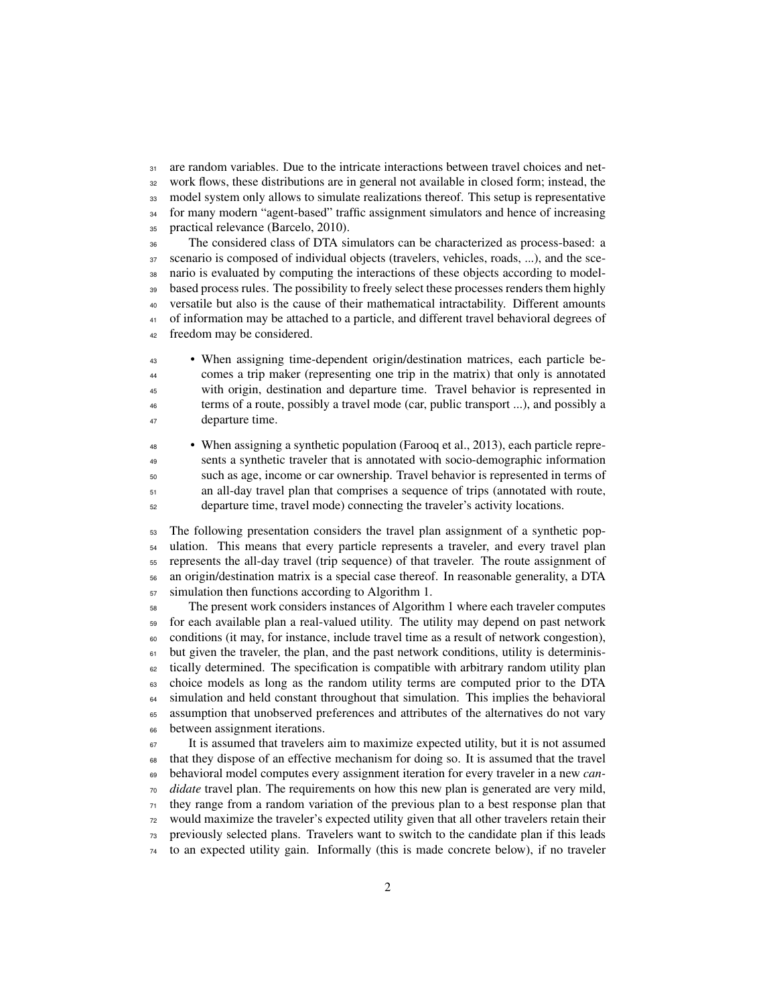31 are random variables. Due to the intricate interactions between travel choices and net- work flows, these distributions are in general not available in closed form; instead, the model system only allows to simulate realizations thereof. This setup is representative <sup>34</sup> for many modern "agent-based" traffic assignment simulators and hence of increasing practical relevance (Barcelo, 2010).

 The considered class of DTA simulators can be characterized as process-based: a scenario is composed of individual objects (travelers, vehicles, roads, ...), and the sce- nario is evaluated by computing the interactions of these objects according to model-<sup>39</sup> based process rules. The possibility to freely select these processes renders them highly versatile but also is the cause of their mathematical intractability. Different amounts of information may be attached to a particle, and different travel behavioral degrees of freedom may be considered.

 • When assigning time-dependent origin/destination matrices, each particle be- comes a trip maker (representing one trip in the matrix) that only is annotated with origin, destination and departure time. Travel behavior is represented in terms of a route, possibly a travel mode (car, public transport ...), and possibly a departure time.

 • When assigning a synthetic population (Farooq et al., 2013), each particle repre- sents a synthetic traveler that is annotated with socio-demographic information such as age, income or car ownership. Travel behavior is represented in terms of an all-day travel plan that comprises a sequence of trips (annotated with route, departure time, travel mode) connecting the traveler's activity locations.

 The following presentation considers the travel plan assignment of a synthetic pop- ulation. This means that every particle represents a traveler, and every travel plan represents the all-day travel (trip sequence) of that traveler. The route assignment of an origin/destination matrix is a special case thereof. In reasonable generality, a DTA simulation then functions according to Algorithm 1.

 The present work considers instances of Algorithm 1 where each traveler computes for each available plan a real-valued utility. The utility may depend on past network conditions (it may, for instance, include travel time as a result of network congestion), but given the traveler, the plan, and the past network conditions, utility is determinis- tically determined. The specification is compatible with arbitrary random utility plan choice models as long as the random utility terms are computed prior to the DTA <sup>64</sup> simulation and held constant throughout that simulation. This implies the behavioral assumption that unobserved preferences and attributes of the alternatives do not vary between assignment iterations.

 It is assumed that travelers aim to maximize expected utility, but it is not assumed that they dispose of an effective mechanism for doing so. It is assumed that the travel behavioral model computes every assignment iteration for every traveler in a new *can- didate* travel plan. The requirements on how this new plan is generated are very mild, they range from a random variation of the previous plan to a best response plan that would maximize the traveler's expected utility given that all other travelers retain their previously selected plans. Travelers want to switch to the candidate plan if this leads to an expected utility gain. Informally (this is made concrete below), if no traveler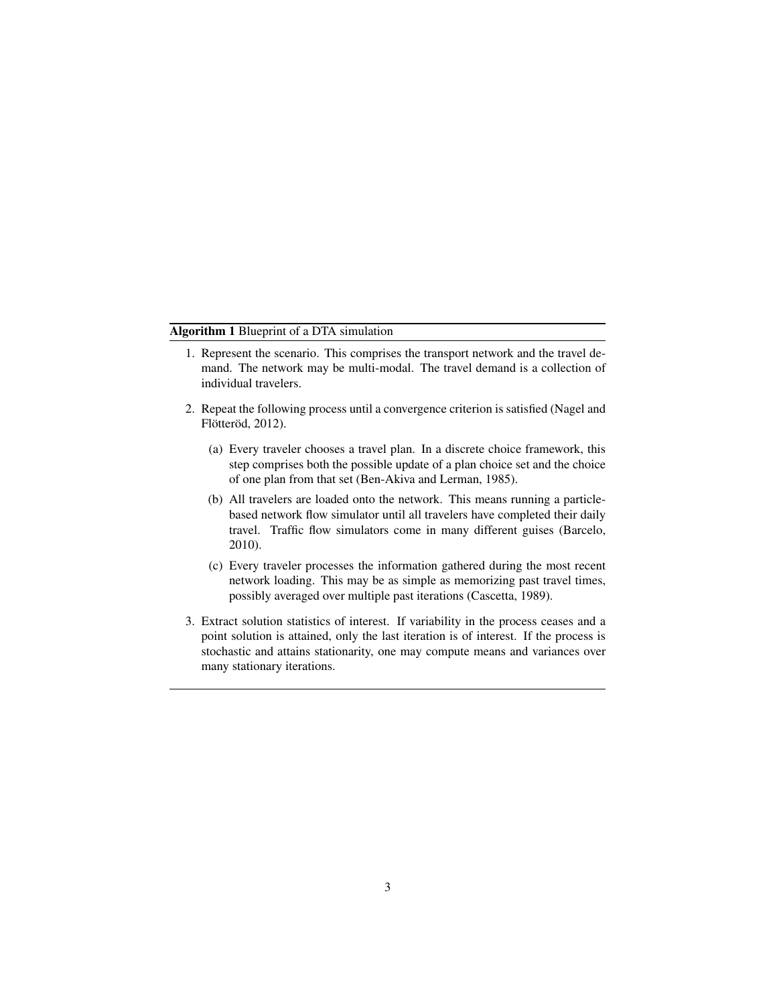#### Algorithm 1 Blueprint of a DTA simulation

- 1. Represent the scenario. This comprises the transport network and the travel demand. The network may be multi-modal. The travel demand is a collection of individual travelers.
- 2. Repeat the following process until a convergence criterion is satisfied (Nagel and Flötteröd, 2012).
	- (a) Every traveler chooses a travel plan. In a discrete choice framework, this step comprises both the possible update of a plan choice set and the choice of one plan from that set (Ben-Akiva and Lerman, 1985).
	- (b) All travelers are loaded onto the network. This means running a particlebased network flow simulator until all travelers have completed their daily travel. Traffic flow simulators come in many different guises (Barcelo, 2010).
	- (c) Every traveler processes the information gathered during the most recent network loading. This may be as simple as memorizing past travel times, possibly averaged over multiple past iterations (Cascetta, 1989).
- 3. Extract solution statistics of interest. If variability in the process ceases and a point solution is attained, only the last iteration is of interest. If the process is stochastic and attains stationarity, one may compute means and variances over many stationary iterations.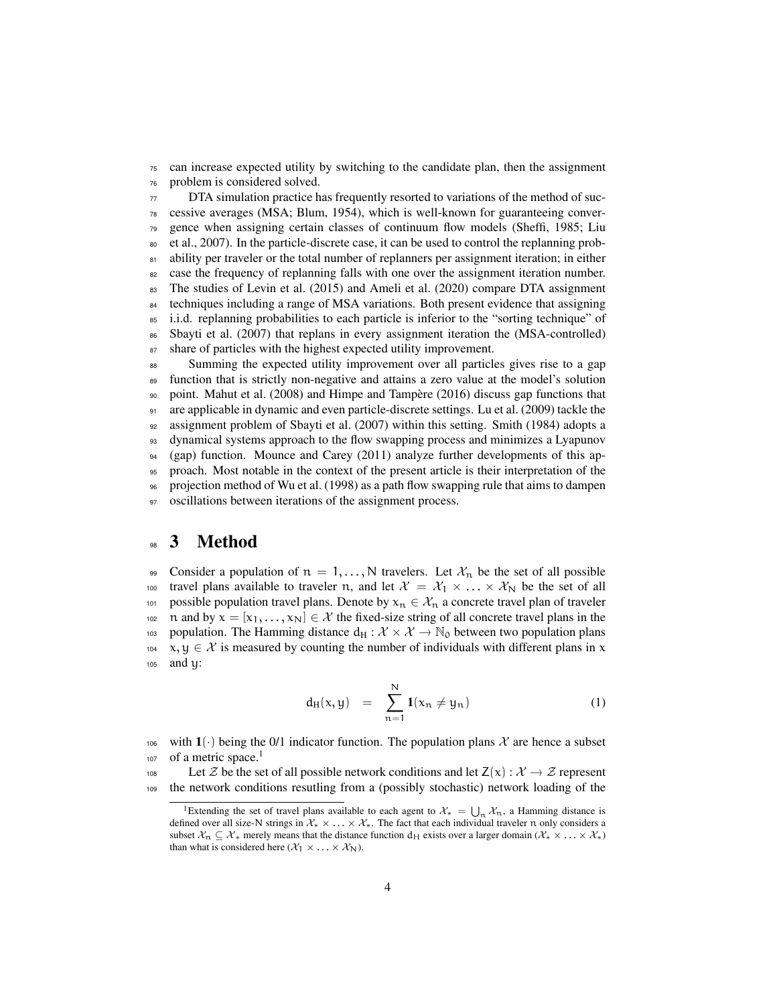<sup>75</sup> can increase expected utility by switching to the candidate plan, then the assignment <sup>76</sup> problem is considered solved.

<sup>77</sup> DTA simulation practice has frequently resorted to variations of the method of suc- $78$  cessive averages (MSA; Blum, 1954), which is well-known for guaranteeing conver-<sup>79</sup> gence when assigning certain classes of continuum flow models (Sheffi, 1985; Liu <sup>80</sup> et al., 2007). In the particle-discrete case, it can be used to control the replanning prob-81 ability per traveler or the total number of replanners per assignment iteration; in either <sup>82</sup> case the frequency of replanning falls with one over the assignment iteration number. <sup>83</sup> The studies of Levin et al. (2015) and Ameli et al. (2020) compare DTA assignment <sup>84</sup> techniques including a range of MSA variations. Both present evidence that assigning <sup>85</sup> i.i.d. replanning probabilities to each particle is inferior to the "sorting technique" of 86 Sbayti et al. (2007) that replans in every assignment iteration the (MSA-controlled) 87 share of particles with the highest expected utility improvement.

 Summing the expected utility improvement over all particles gives rise to a gap function that is strictly non-negative and attains a zero value at the model's solution point. Mahut et al. (2008) and Himpe and Tampère (2016) discuss gap functions that are applicable in dynamic and even particle-discrete settings. Lu et al. (2009) tackle the assignment problem of Sbayti et al. (2007) within this setting. Smith (1984) adopts a dynamical systems approach to the flow swapping process and minimizes a Lyapunov (gap) function. Mounce and Carey (2011) analyze further developments of this ap- proach. Most notable in the context of the present article is their interpretation of the projection method of Wu et al. (1998) as a path flow swapping rule that aims to dampen 97 oscillations between iterations of the assignment process.

#### <sup>98</sup> 3 Method

99 Consider a population of  $n = 1, \ldots, N$  travelers. Let  $\mathcal{X}_n$  be the set of all possible 100 travel plans available to traveler n, and let  $\mathcal{X} = \mathcal{X}_1 \times \ldots \times \mathcal{X}_N$  be the set of all 101 possible population travel plans. Denote by  $x_n \in \mathcal{X}_n$  a concrete travel plan of traveler 102 n and by  $x = [x_1, \ldots, x_N] \in \mathcal{X}$  the fixed-size string of all concrete travel plans in the 103 population. The Hamming distance  $d_H : \mathcal{X} \times \mathcal{X} \to \mathbb{N}_0$  between two population plans  $x, y \in \mathcal{X}$  is measured by counting the number of individuals with different plans in x  $x, y \in \mathcal{X}$  is measured by counting the number of individuals with different plans in x <sup>105</sup> and y:

$$
d_H(x, y) = \sum_{n=1}^{N} 1(x_n \neq y_n)
$$
 (1)

106 with  $1(\cdot)$  being the 0/1 indicator function. The population plans  $\mathcal X$  are hence a subset of a metric space.<sup>1</sup> 107

108 Let *Z* be the set of all possible network conditions and let  $Z(x) : \mathcal{X} \to \mathcal{Z}$  represent<br>109 the network conditions resulting from a (possibly stochastic) network loading of the the network conditions resutling from a (possibly stochastic) network loading of the

<sup>&</sup>lt;sup>1</sup>Extending the set of travel plans available to each agent to  $\mathcal{X}_* = \bigcup_n \mathcal{X}_n$ , a Hamming distance is defined over all size-N strings in  $\mathcal{X}_* \times \ldots \times \mathcal{X}_*$ . The fact that each individual traveler n only considers a subset  $X_n \subseteq X_*$  merely means that the distance function  $d_H$  exists over a larger domain ( $X_* \times \ldots \times X_*$ ) than what is considered here  $(\mathcal{X}_1 \times \ldots \times \mathcal{X}_N)$ .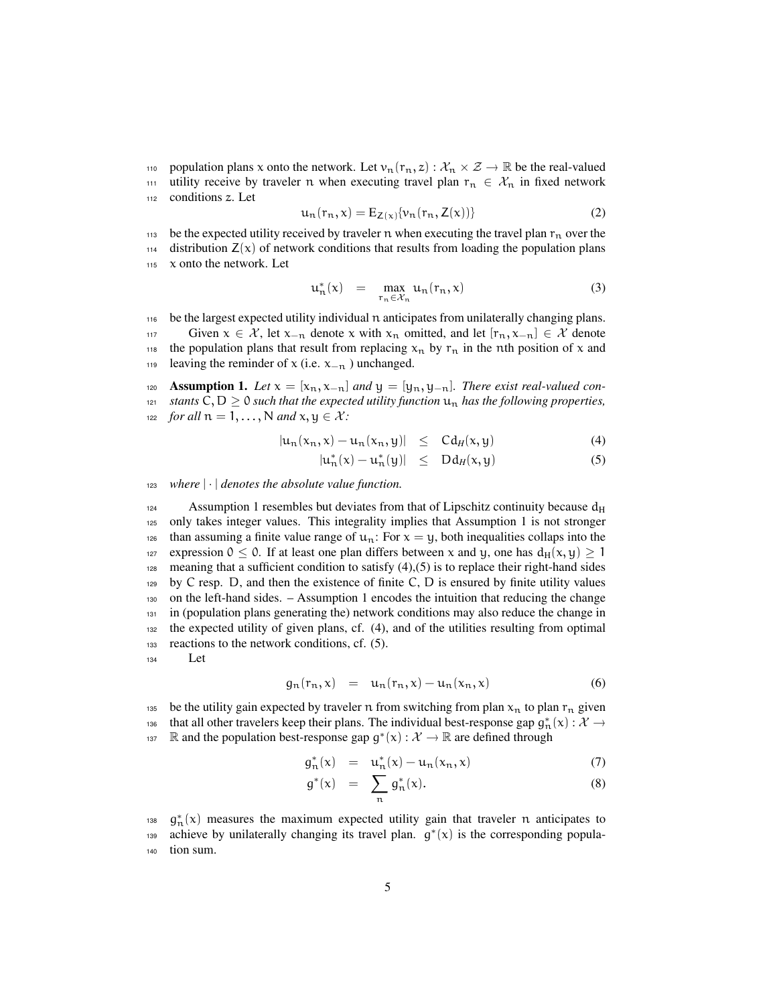110 population plans x onto the network. Let  $v_n(r_n, z) : \mathcal{X}_n \times \mathcal{Z} \to \mathbb{R}$  be the real-valued<br>111 utility receive by traveler n when executing travel plan  $r_n \in \mathcal{X}_n$  in fixed network utility receive by traveler n when executing travel plan  $r_n \in \mathcal{X}_n$  in fixed network <sup>112</sup> conditions z. Let

$$
\mathbf{u}_{n}(\mathbf{r}_{n},\mathbf{x})=\mathbf{E}_{Z(\mathbf{x})}\{\mathbf{v}_{n}(\mathbf{r}_{n},Z(\mathbf{x}))\}\tag{2}
$$

113 be the expected utility received by traveler n when executing the travel plan  $r_n$  over the  $114$  distribution  $Z(x)$  of network conditions that results from loading the population plans <sup>115</sup> x onto the network. Let

$$
u_n^*(x) = \max_{r_n \in \mathcal{X}_n} u_n(r_n, x) \tag{3}
$$

<sup>116</sup> be the largest expected utility individual n anticipates from unilaterally changing plans. 117 Given  $x \in \mathcal{X}$ , let  $x_{-n}$  denote x with  $x_n$  omitted, and let  $[r_n, x_{-n}] \in \mathcal{X}$  denote 118 the population plans that result from replacing  $x_n$  by  $r_n$  in the nth position of x and 119 leaving the reminder of x (i.e.  $x_{-n}$ ) unchanged.

120 **Assumption 1.** Let  $x = [x_n, x_{-n}]$  and  $y = [y_n, y_{-n}]$ . There exist real-valued con-121 *stants*  $C, D \ge 0$  *such that the expected utility function*  $u_n$  *has the following properties,* 122 *for all*  $n = 1, ..., N$  *and*  $x, y \in \mathcal{X}$ *:* 

$$
|u_n(x_n, x) - u_n(x_n, y)| \leq C d_H(x, y) \tag{4}
$$

$$
|u_n^*(x) - u_n^*(y)| \leq Dd_H(x, y) \tag{5}
$$

<sup>123</sup> *where* | *·* | *denotes the absolute value function.*

124 Assumption 1 resembles but deviates from that of Lipschitz continuity because  $d_H$ <sup>125</sup> only takes integer values. This integrality implies that Assumption 1 is not stronger <sup>126</sup> than assuming a finite value range of  $u_n$ : For  $x = y$ , both inequalities collaps into the expression  $0 \le 0$ . If at least one plan differs between x and y, one has  $d_H(x, y) \ge 1$ 128 meaning that a sufficient condition to satisfy  $(4)$ ,  $(5)$  is to replace their right-hand sides  $129$  by C resp. D, and then the existence of finite C, D is ensured by finite utility values <sup>130</sup> on the left-hand sides. – Assumption 1 encodes the intuition that reducing the change <sup>131</sup> in (population plans generating the) network conditions may also reduce the change in <sup>132</sup> the expected utility of given plans, cf. (4), and of the utilities resulting from optimal <sup>133</sup> reactions to the network conditions, cf. (5). <sup>134</sup> Let

$$
g_n(r_n, x) = u_n(r_n, x) - u_n(x_n, x) \tag{6}
$$

135 be the utility gain expected by traveler n from switching from plan  $x_n$  to plan  $r_n$  given that all other travelers keep their plans. The individual best-response gap  $g_n^*(x): \mathcal{X} \to \mathbb{R}$ <sup>137</sup> R and the population best-response gap  $g^*(x) : \mathcal{X} \to \mathbb{R}$  are defined through

$$
g_n^*(x) = u_n^*(x) - u_n(x_n, x) \tag{7}
$$

$$
g^*(x) = \sum_{n} g_n^*(x). \tag{8}
$$

<sup>138</sup>  $g_n^*(x)$  measures the maximum expected utility gain that traveler n anticipates to <sup>139</sup> achieve by unilaterally changing its travel plan.  $g^*(x)$  is the corresponding popula-<sup>140</sup> tion sum.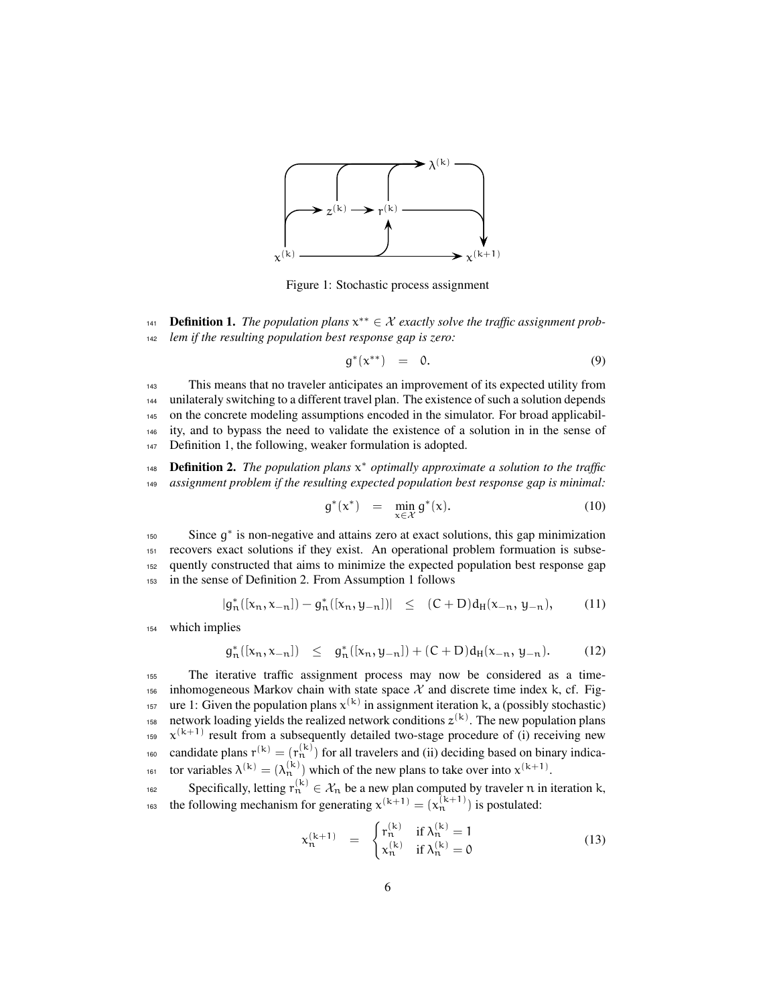

Figure 1: Stochastic process assignment

Definition 1. *The population plans* x *∗∗* <sup>141</sup> *∈ X exactly solve the traffic assignment prob-*<sup>142</sup> *lem if the resulting population best response gap is zero:*

$$
g^*(x^{**}) = 0. \tag{9}
$$

 This means that no traveler anticipates an improvement of its expected utility from unilateraly switching to a different travel plan. The existence of such a solution depends on the concrete modeling assumptions encoded in the simulator. For broad applicabil- ity, and to bypass the need to validate the existence of a solution in in the sense of Definition 1, the following, weaker formulation is adopted.

*na* **Definition 2.** The population plans  $x^*$  optimally approximate a solution to the traffic <sup>149</sup> *assignment problem if the resulting expected population best response gap is minimal:*

$$
g^*(x^*) = \min_{x \in \mathcal{X}} g^*(x). \tag{10}
$$

<sup>150</sup> Since g<sup>\*</sup> is non-negative and attains zero at exact solutions, this gap minimization recovers exact solutions if they exist. An operational problem formuation is subse- quently constructed that aims to minimize the expected population best response gap in the sense of Definition 2. From Assumption 1 follows

$$
|g_n^*([x_n, x_{-n}]) - g_n^*([x_n, y_{-n}])| \le (C+D) d_H(x_{-n}, y_{-n}), \qquad (11)
$$

<sup>154</sup> which implies

g

$$
J_n^*([x_n, x_{-n}]) \leq g_n^*([x_n, y_{-n}]) + (C+D)d_H(x_{-n}, y_{-n}). \tag{12}
$$

<sup>155</sup> The iterative traffic assignment process may now be considered as a time-156 inhomogeneous Markov chain with state space  $\mathcal X$  and discrete time index k, cf. Fig-<sup>157</sup> ure 1: Given the population plans  $x^{(k)}$  in assignment iteration k, a (possibly stochastic) 158 network loading yields the realized network conditions  $z^{(k)}$ . The new population plans  $x^{(k+1)}$  result from a subsequently detailed two-stage procedure of (i) receiving new <sup>160</sup> candidate plans  $r^{(k)} = (r_n^{(k)})$  for all travelers and (ii) deciding based on binary indica-<sup>161</sup> tor variables  $\lambda^{(k)} = (\lambda_n^{(k)})$  which of the new plans to take over into  $x^{(k+1)}$ .

Specifically, letting  $r_n^{(k)} \in \mathcal{X}_n$  be a new plan computed by traveler n in iteration k, the following mechanism for generating  $x^{(k+1)} = (x_n^{(k+1)})$  is postulated:

$$
x_n^{(k+1)} = \begin{cases} r_n^{(k)} & \text{if } \lambda_n^{(k)} = 1 \\ x_n^{(k)} & \text{if } \lambda_n^{(k)} = 0 \end{cases}
$$
(13)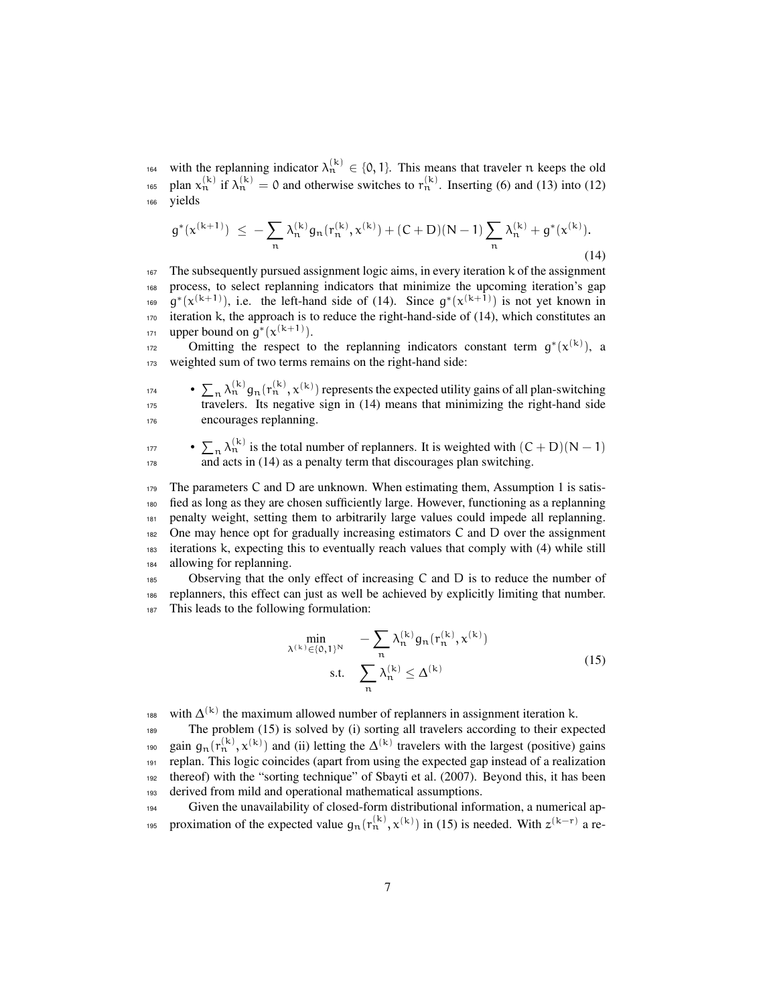<sup>164</sup> with the replanning indicator  $\lambda_n^{(k)} \in \{0, 1\}$ . This means that traveler n keeps the old <sup>165</sup> plan  $x_n^{(k)}$  if  $\lambda_n^{(k)} = 0$  and otherwise switches to  $r_n^{(k)}$ . Inserting (6) and (13) into (12) <sup>166</sup> yields

$$
g^*(x^{(k+1)}) \ \leq \ - \sum_n \lambda_n^{(k)} g_n(r_n^{(k)}, x^{(k)}) + (C+D)(N-1) \sum_n \lambda_n^{(k)} + g^*(x^{(k)}).
$$
\n(14)

<sup>167</sup> The subsequently pursued assignment logic aims, in every iteration k of the assignment <sup>168</sup> process, to select replanning indicators that minimize the upcoming iteration's gap <sup>169</sup> g<sup>\*</sup>( $x^{(k+1)}$ ), i.e. the left-hand side of (14). Since g<sup>\*</sup>( $x^{(k+1)}$ ) is not yet known in  $170$  iteration k, the approach is to reduce the right-hand-side of (14), which constitutes an <sup>171</sup> upper bound on  $g^*(x^{(k+1)})$ .

omitting the respect to the replanning indicators constant term  $g^*(x^{(k)})$ , a 173 weighted sum of two terms remains on the right-hand side:

<sup>174</sup> •  $\sum_{n} \lambda_n^{(k)} g_n(r_n^{(k)}, x^{(k)})$  represents the expected utility gains of all plan-switching <sup>175</sup> travelers. Its negative sign in (14) means that minimizing the right-hand side <sup>176</sup> encourages replanning.

 $\sum_{n} \lambda_n^{(k)}$  is the total number of replanners. It is weighted with  $(C + D)(N - 1)$ 178 and acts in (14) as a penalty term that discourages plan switching.

 The parameters C and D are unknown. When estimating them, Assumption 1 is satis- fied as long as they are chosen sufficiently large. However, functioning as a replanning penalty weight, setting them to arbitrarily large values could impede all replanning. One may hence opt for gradually increasing estimators C and D over the assignment iterations k, expecting this to eventually reach values that comply with (4) while still allowing for replanning.

<sup>185</sup> Observing that the only effect of increasing C and D is to reduce the number of <sup>186</sup> replanners, this effect can just as well be achieved by explicitly limiting that number. <sup>187</sup> This leads to the following formulation:

$$
\min_{\lambda^{(k)} \in \{0,1\}^N} \quad -\sum_{n} \lambda_n^{(k)} g_n(r_n^{(k)}, x^{(k)})
$$
\n
$$
\text{s.t.} \quad \sum_{n} \lambda_n^{(k)} \le \Delta^{(k)} \tag{15}
$$

188 with  $\Delta^{(k)}$  the maximum allowed number of replanners in assignment iteration k.

 The problem (15) is solved by (i) sorting all travelers according to their expected <sup>190</sup> gain  $g_n(r_n^{(k)}, x^{(k)})$  and (ii) letting the  $\Delta^{(k)}$  travelers with the largest (positive) gains replan. This logic coincides (apart from using the expected gap instead of a realization thereof) with the "sorting technique" of Sbayti et al. (2007). Beyond this, it has been derived from mild and operational mathematical assumptions.

<sup>194</sup> Given the unavailability of closed-form distributional information, a numerical ap-<sup>195</sup> proximation of the expected value  $g_n(r_n^{(k)}, x^{(k)})$  in (15) is needed. With  $z^{(k-r)}$  a re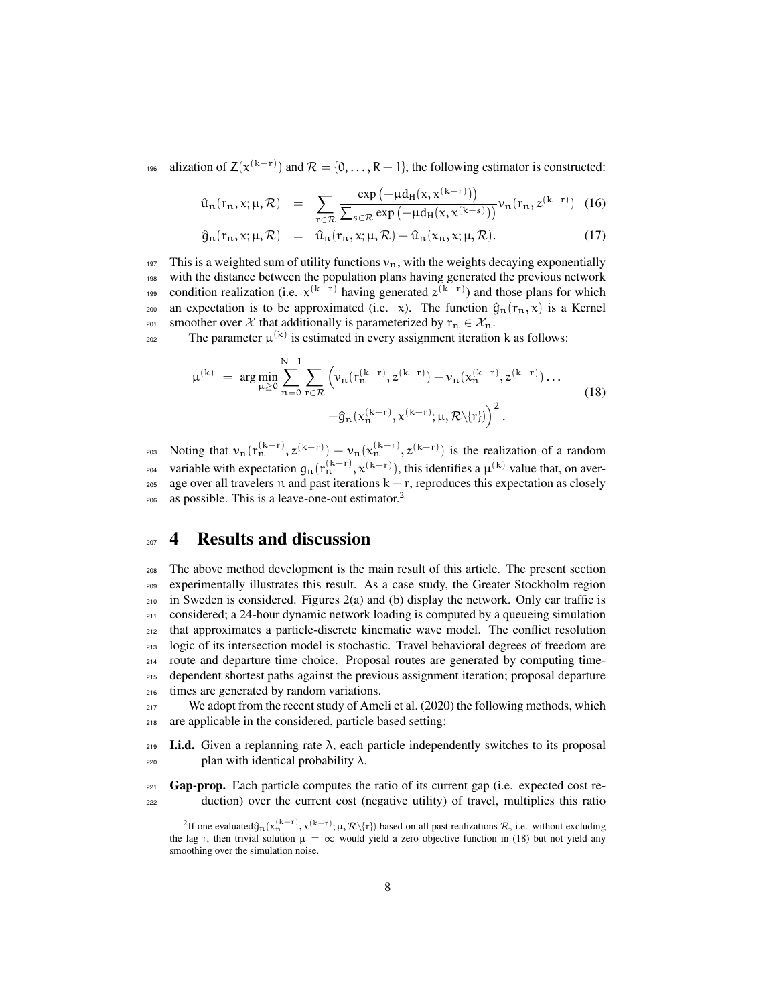196 alization of  $Z(x^{(k-r)})$  and  $\mathcal{R} = \{0, ..., R-1\}$ , the following estimator is constructed:

$$
\hat{u}_n(r_n, x; \mu, \mathcal{R}) = \sum_{r \in \mathcal{R}} \frac{\exp\left(-\mu d_H(x, x^{(k-r)})\right)}{\sum_{s \in \mathcal{R}} \exp\left(-\mu d_H(x, x^{(k-s)})\right)} \nu_n(r_n, z^{(k-r)}) \tag{16}
$$

$$
\hat{g}_n(r_n, x; \mu, \mathcal{R}) = \hat{u}_n(r_n, x; \mu, \mathcal{R}) - \hat{u}_n(x_n, x; \mu, \mathcal{R}). \tag{17}
$$

197 This is a weighted sum of utility functions  $v_n$ , with the weights decaying exponentially <sup>198</sup> with the distance between the population plans having generated the previous network <sup>199</sup> condition realization (i.e.  $x^{(k-r)}$  having generated  $z^{(k-r)}$ ) and those plans for which 200 an expectation is to be approximated (i.e. x). The function  $\hat{q}_n(r_n, x)$  is a Kernel 201 smoother over *X* that additionally is parameterized by  $r_n \in \mathcal{X}_n$ .

202 The parameter  $\mu^{(k)}$  is estimated in every assignment iteration k as follows:

$$
\mu^{(k)} = \arg \min_{\mu \ge 0} \sum_{n=0}^{N-1} \sum_{r \in \mathcal{R}} \left( \nu_n(r_n^{(k-r)}, z^{(k-r)}) - \nu_n(x_n^{(k-r)}, z^{(k-r)}) \dots \right. \\
\left. - \hat{g}_n(x_n^{(k-r)}, x^{(k-r)}; \mu, \mathcal{R} \backslash \{r\}) \right)^2.
$$
\n(18)

203 Noting that  $v_n(r_n^{(k-r)}, z^{(k-r)}) - v_n(x_n^{(k-r)}, z^{(k-r)})$  is the realization of a random 204 variable with expectation  $g_n(r_n^{(k-r)}, x^{(k-r)})$ , this identifies a  $\mu^{(k)}$  value that, on aver-205 age over all travelers n and past iterations  $k - r$ , reproduces this expectation as closely as possible. This is a leave-one-out estimator. $<sup>2</sup>$ </sup> 206

#### <sup>207</sup> 4 Results and discussion

 The above method development is the main result of this article. The present section experimentally illustrates this result. As a case study, the Greater Stockholm region in Sweden is considered. Figures 2(a) and (b) display the network. Only car traffic is considered; a 24-hour dynamic network loading is computed by a queueing simulation that approximates a particle-discrete kinematic wave model. The conflict resolution logic of its intersection model is stochastic. Travel behavioral degrees of freedom are route and departure time choice. Proposal routes are generated by computing time- dependent shortest paths against the previous assignment iteration; proposal departure times are generated by random variations.

<sup>217</sup> We adopt from the recent study of Ameli et al. (2020) the following methods, which <sup>218</sup> are applicable in the considered, particle based setting:

 $219$  I.i.d. Given a replanning rate λ, each particle independently switches to its proposal  $220$  plan with identical probability λ.

 $_{221}$  Gap-prop. Each particle computes the ratio of its current gap (i.e. expected cost re-<sup>222</sup> duction) over the current cost (negative utility) of travel, multiplies this ratio

<sup>&</sup>lt;sup>2</sup>If one evaluated $\hat{g}_n(x_n^{(k-r)}, x^{(k-r)}; \mu, \mathcal{R}\backslash\{r\})$  based on all past realizations  $\mathcal{R}$ , i.e. without excluding the lag r, then trivial solution  $\mu = \infty$  would yield a zero objective function in (18) but not yield any smoothing over the simulation noise.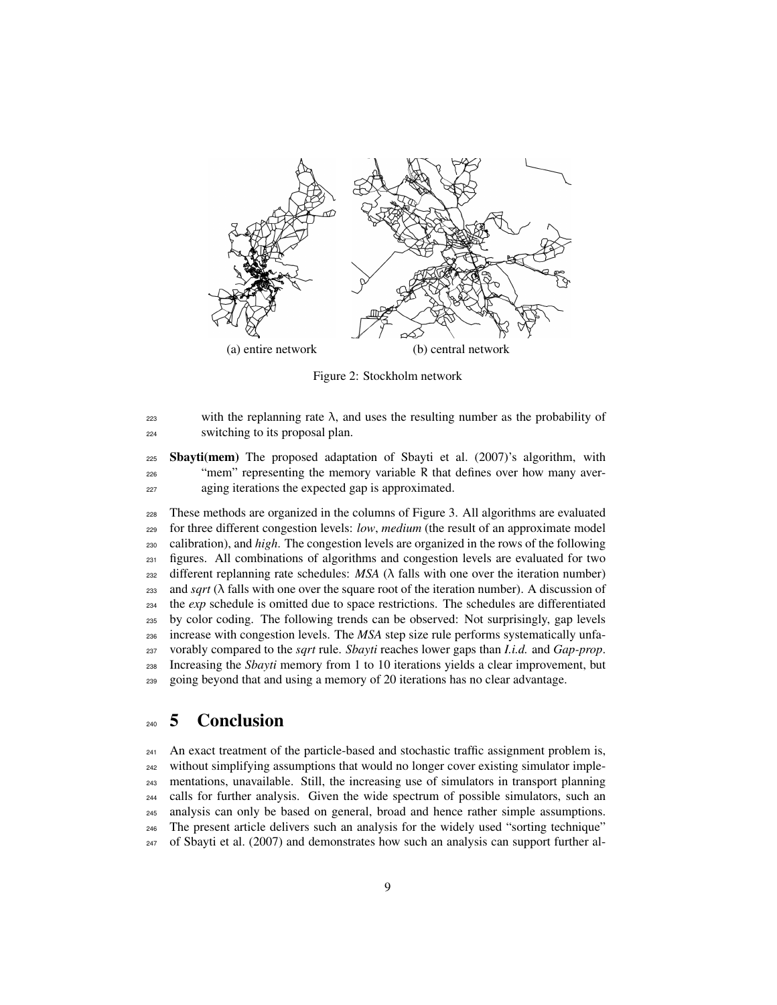

Figure 2: Stockholm network

 with the replanning rate λ, and uses the resulting number as the probability of switching to its proposal plan.

 Sbayti(mem) The proposed adaptation of Sbayti et al. (2007)'s algorithm, with "mem" representing the memory variable R that defines over how many aver-aging iterations the expected gap is approximated.

 These methods are organized in the columns of Figure 3. All algorithms are evaluated for three different congestion levels: *low*, *medium* (the result of an approximate model calibration), and *high*. The congestion levels are organized in the rows of the following figures. All combinations of algorithms and congestion levels are evaluated for two  $_{232}$  different replanning rate schedules: *MSA* ( $\lambda$  falls with one over the iteration number) and *sqrt* (λ falls with one over the square root of the iteration number). A discussion of the *exp* schedule is omitted due to space restrictions. The schedules are differentiated by color coding. The following trends can be observed: Not surprisingly, gap levels increase with congestion levels. The *MSA* step size rule performs systematically unfa- vorably compared to the *sqrt* rule. *Sbayti* reaches lower gaps than *I.i.d.* and *Gap-prop*. Increasing the *Sbayti* memory from 1 to 10 iterations yields a clear improvement, but going beyond that and using a memory of 20 iterations has no clear advantage.

### 5 Conclusion

 An exact treatment of the particle-based and stochastic traffic assignment problem is, without simplifying assumptions that would no longer cover existing simulator imple- mentations, unavailable. Still, the increasing use of simulators in transport planning calls for further analysis. Given the wide spectrum of possible simulators, such an analysis can only be based on general, broad and hence rather simple assumptions. The present article delivers such an analysis for the widely used "sorting technique" of Sbayti et al. (2007) and demonstrates how such an analysis can support further al-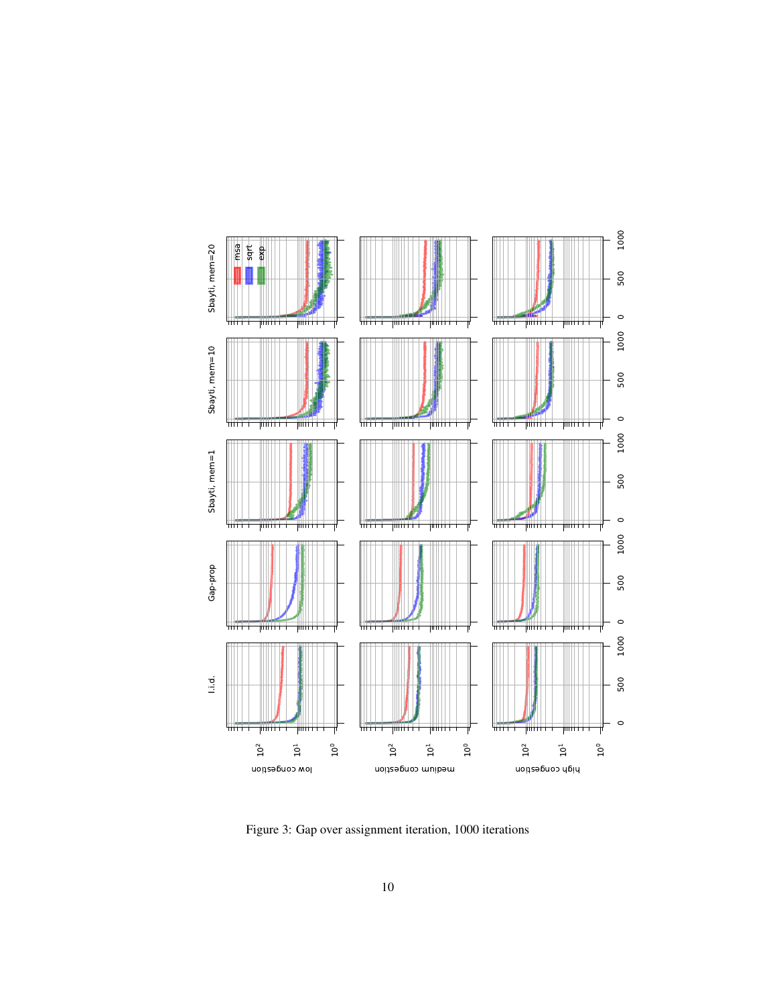

Figure 3: Gap over assignment iteration, 1000 iterations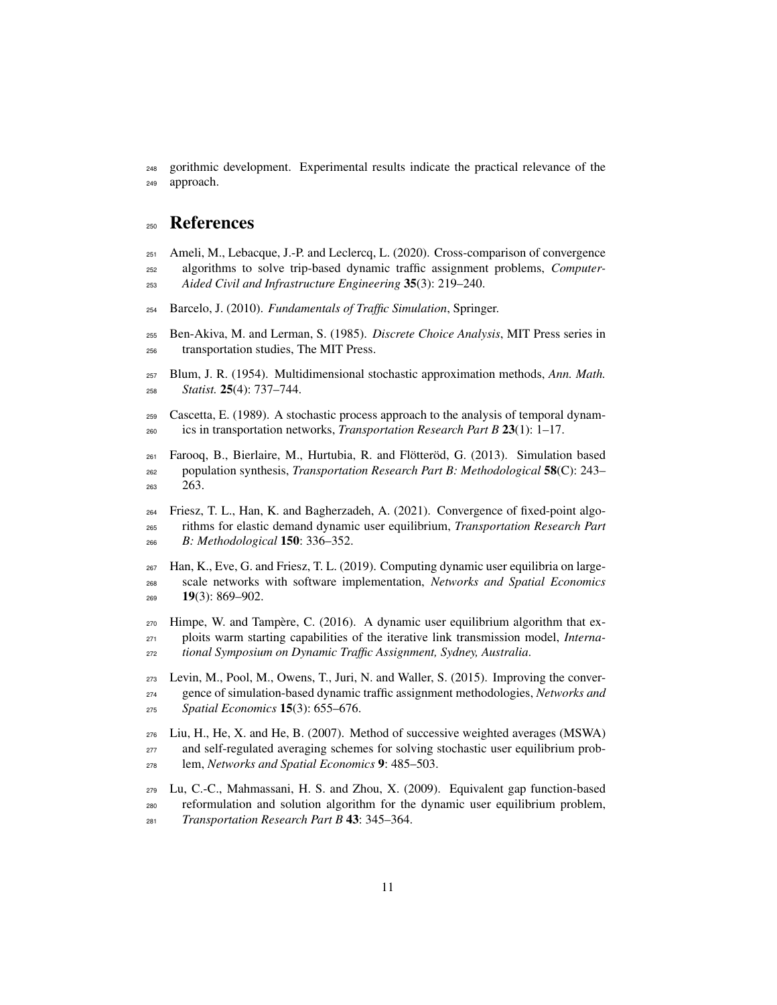gorithmic development. Experimental results indicate the practical relevance of the approach.

#### References

- Ameli, M., Lebacque, J.-P. and Leclercq, L. (2020). Cross-comparison of convergence algorithms to solve trip-based dynamic traffic assignment problems, *Computer-Aided Civil and Infrastructure Engineering* 35(3): 219–240.
- Barcelo, J. (2010). *Fundamentals of Traffic Simulation*, Springer.
- Ben-Akiva, M. and Lerman, S. (1985). *Discrete Choice Analysis*, MIT Press series in transportation studies, The MIT Press.
- Blum, J. R. (1954). Multidimensional stochastic approximation methods, *Ann. Math. Statist.* 25(4): 737–744.
- Cascetta, E. (1989). A stochastic process approach to the analysis of temporal dynam-ics in transportation networks, *Transportation Research Part B* 23(1): 1–17.
- Farooq, B., Bierlaire, M., Hurtubia, R. and Flötteröd, G. (2013). Simulation based population synthesis, *Transportation Research Part B: Methodological* 58(C): 243– 263.
- Friesz, T. L., Han, K. and Bagherzadeh, A. (2021). Convergence of fixed-point algo- rithms for elastic demand dynamic user equilibrium, *Transportation Research Part B: Methodological* 150: 336–352.
- Han, K., Eve, G. and Friesz, T. L. (2019). Computing dynamic user equilibria on large- scale networks with software implementation, *Networks and Spatial Economics*  $269 - 19(3)$ : 869–902.
- Himpe, W. and Tampère, C. (2016). A dynamic user equilibrium algorithm that ex- ploits warm starting capabilities of the iterative link transmission model, *Interna-tional Symposium on Dynamic Traffic Assignment, Sydney, Australia*.
- Levin, M., Pool, M., Owens, T., Juri, N. and Waller, S. (2015). Improving the conver- gence of simulation-based dynamic traffic assignment methodologies, *Networks and Spatial Economics* 15(3): 655–676.
- Liu, H., He, X. and He, B. (2007). Method of successive weighted averages (MSWA) and self-regulated averaging schemes for solving stochastic user equilibrium prob-lem, *Networks and Spatial Economics* 9: 485–503.
- Lu, C.-C., Mahmassani, H. S. and Zhou, X. (2009). Equivalent gap function-based reformulation and solution algorithm for the dynamic user equilibrium problem, *Transportation Research Part B* 43: 345–364.